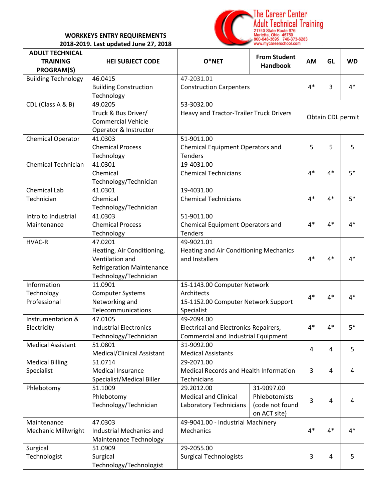## **WORKKEYS ENTRY REQUIREMENTS 2018-2019. Last updated June 27, 2018**



| <b>ADULT TECHNICAL</b>     |                                  |                                                              | <b>From Student</b>                 |      |      |           |
|----------------------------|----------------------------------|--------------------------------------------------------------|-------------------------------------|------|------|-----------|
| <b>TRAINING</b>            | <b>HEI SUBJECT CODE</b>          | O*NET                                                        | <b>Handbook</b>                     | AM   | GL   | <b>WD</b> |
| <b>PROGRAM(S)</b>          |                                  |                                                              |                                     |      |      |           |
| <b>Building Technology</b> | 46.0415                          | 47-2031.01                                                   |                                     |      |      |           |
|                            | <b>Building Construction</b>     | <b>Construction Carpenters</b>                               | $4*$                                | 3    | $4*$ |           |
|                            | Technology                       |                                                              |                                     |      |      |           |
| CDL (Class A & B)          | 49.0205                          | 53-3032.00                                                   |                                     |      |      |           |
|                            | Truck & Bus Driver/              | Heavy and Tractor-Trailer Truck Drivers                      | Obtain CDL permit                   |      |      |           |
|                            | <b>Commercial Vehicle</b>        |                                                              |                                     |      |      |           |
|                            | Operator & Instructor            |                                                              |                                     |      |      |           |
| <b>Chemical Operator</b>   | 41.0303                          | 51-9011.00                                                   |                                     |      |      |           |
|                            | <b>Chemical Process</b>          | Chemical Equipment Operators and                             | 5                                   | 5    | 5    |           |
|                            | Technology                       | <b>Tenders</b>                                               |                                     |      |      |           |
| <b>Chemical Technician</b> | 41.0301                          | 19-4031.00                                                   |                                     |      |      |           |
|                            | Chemical                         | <b>Chemical Technicians</b>                                  | $4*$                                | $4*$ | $5*$ |           |
|                            | Technology/Technician            |                                                              |                                     |      |      |           |
| <b>Chemical Lab</b>        | 41.0301                          | 19-4031.00                                                   |                                     |      |      |           |
| Technician                 | Chemical                         | <b>Chemical Technicians</b>                                  |                                     | $4*$ | $4*$ | $5*$      |
|                            | Technology/Technician            |                                                              |                                     |      |      |           |
| Intro to Industrial        | 41.0303                          | 51-9011.00                                                   |                                     |      |      |           |
| Maintenance                | <b>Chemical Process</b>          | Chemical Equipment Operators and                             |                                     | $4*$ | $4*$ | $4*$      |
|                            | Technology                       | <b>Tenders</b>                                               |                                     |      |      |           |
| <b>HVAC-R</b>              | 47.0201                          | 49-9021.01                                                   |                                     |      |      |           |
|                            | Heating, Air Conditioning,       | <b>Heating and Air Conditioning Mechanics</b>                |                                     |      |      |           |
|                            | Ventilation and                  | and Installers                                               | $4*$                                | $4*$ | $4*$ |           |
|                            | <b>Refrigeration Maintenance</b> |                                                              |                                     |      |      |           |
|                            | Technology/Technician            |                                                              |                                     |      |      |           |
| Information                | 11.0901                          | 15-1143.00 Computer Network                                  |                                     |      |      |           |
| Technology                 | <b>Computer Systems</b>          | Architects                                                   |                                     |      |      |           |
| Professional               | Networking and                   | 15-1152.00 Computer Network Support                          |                                     |      | $4*$ | $4*$      |
|                            | Telecommunications               | Specialist                                                   |                                     |      |      |           |
| Instrumentation &          | 47.0105                          | 49-2094.00                                                   |                                     |      |      |           |
| Electricity                | <b>Industrial Electronics</b>    | Electrical and Electronics Repairers,                        |                                     | $4*$ | $4*$ | $5*$      |
|                            | Technology/Technician            |                                                              | Commercial and Industrial Equipment |      |      |           |
| <b>Medical Assistant</b>   | 51.0801                          | 31-9092.00                                                   |                                     |      |      |           |
|                            | Medical/Clinical Assistant       | <b>Medical Assistants</b><br>29-2071.00                      |                                     | 4    | 4    | 5         |
| <b>Medical Billing</b>     | 51.0714                          |                                                              |                                     |      |      |           |
| Specialist                 | <b>Medical Insurance</b>         | Medical Records and Health Information<br><b>Technicians</b> |                                     | 3    | 4    | 4         |
|                            | Specialist/Medical Biller        |                                                              |                                     |      |      |           |
| Phlebotomy                 | 51.1009                          | 29.2012.00                                                   | 31-9097.00                          |      |      |           |
|                            | Phlebotomy                       | <b>Medical and Clinical</b>                                  | Phlebotomists                       |      |      |           |
|                            | Technology/Technician            | Laboratory Technicians                                       | (code not found                     | 3    | 4    | 4         |
|                            |                                  |                                                              | on ACT site)                        |      |      |           |
| Maintenance                | 47.0303                          | 49-9041.00 - Industrial Machinery                            |                                     |      |      |           |
|                            | Industrial Mechanics and         |                                                              |                                     | $4*$ | $4*$ | $4*$      |
| <b>Mechanic Millwright</b> |                                  | Mechanics                                                    |                                     |      |      |           |
|                            | <b>Maintenance Technology</b>    |                                                              |                                     |      |      |           |
| Surgical                   | 51.0909                          | 29-2055.00                                                   |                                     | 3    |      |           |
| Technologist               | Surgical                         | <b>Surgical Technologists</b>                                |                                     |      | 4    | 5         |
|                            | Technology/Technologist          |                                                              |                                     |      |      |           |